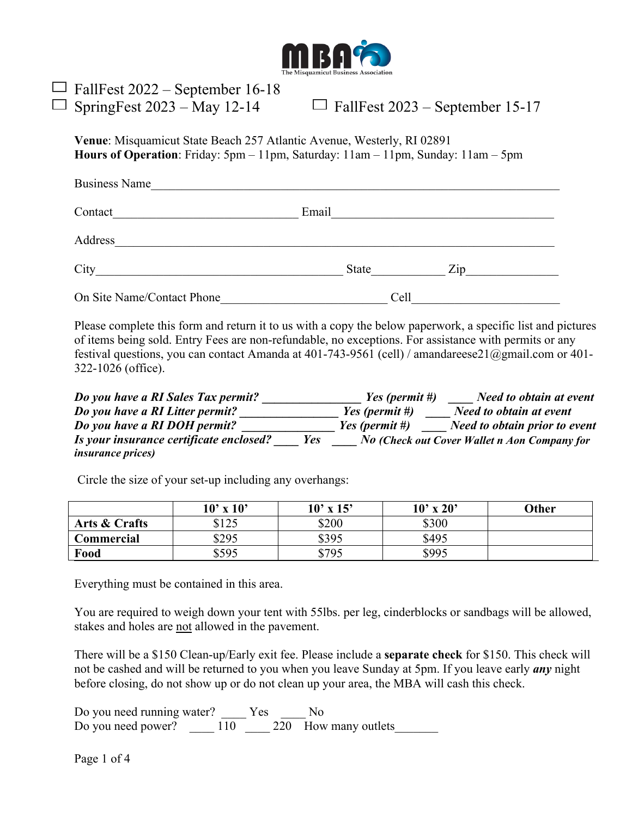

| $\Box$ FallFest 2022 – September 16-18<br>$\Box$ SpringFest 2023 – May 12-14                                                                                       | $\Box$ FallFest 2023 – September 15-17 |  |  |
|--------------------------------------------------------------------------------------------------------------------------------------------------------------------|----------------------------------------|--|--|
| <b>Venue:</b> Misquamicut State Beach 257 Atlantic Avenue, Westerly, RI 02891<br>Hours of Operation: Friday: 5pm - 11pm, Saturday: 11am - 11pm, Sunday: 11am - 5pm |                                        |  |  |
| <b>Business Name</b>                                                                                                                                               |                                        |  |  |
| Contact                                                                                                                                                            | Email                                  |  |  |
| Address                                                                                                                                                            |                                        |  |  |
|                                                                                                                                                                    |                                        |  |  |

City\_\_\_\_\_\_\_\_\_\_\_\_\_\_\_\_\_\_\_\_\_\_\_\_\_\_\_\_\_\_\_\_\_\_\_\_\_\_\_\_ State\_\_\_\_\_\_\_\_\_\_\_\_ Zip\_\_\_\_\_\_\_\_\_\_\_\_\_\_\_

On Site Name/Contact Phone Cell

Please complete this form and return it to us with a copy the below paperwork, a specific list and pictures of items being sold. Entry Fees are non-refundable, no exceptions. For assistance with permits or any festival questions, you can contact Amanda at 401-743-9561 (cell) / amandareese21@gmail.com or 401- 322-1026 (office).

*Do you have a RI Sales Tax permit? \_\_\_\_\_\_\_\_\_\_\_\_\_\_\_\_ Yes (permit #) \_\_\_\_ Need to obtain at event Do you have a RI Litter permit? \_\_\_\_\_\_\_\_\_\_\_\_\_\_\_\_ Yes (permit #) \_\_\_\_ Need to obtain at event Do you have a RI DOH permit? \_\_\_\_\_\_\_\_\_\_\_\_\_\_\_ Yes (permit #) \_\_\_\_ Need to obtain prior to event Is your insurance certificate enclosed? \_\_\_\_ Yes \_\_\_\_ No (Check out Cover Wallet n Aon Company for insurance prices)* 

Circle the size of your set-up including any overhangs:

|               | $10'$ x $10'$ | $10'$ x $15'$ | $10'$ x $20'$ | <b>Other</b> |
|---------------|---------------|---------------|---------------|--------------|
| Arts & Crafts | \$125         | \$200         | \$300         |              |
| Commercial    | \$295         | \$395         | \$495         |              |
| Food          | \$595         | \$795         | \$995         |              |

Everything must be contained in this area.

You are required to weigh down your tent with 55lbs. per leg, cinderblocks or sandbags will be allowed, stakes and holes are not allowed in the pavement.

There will be a \$150 Clean-up/Early exit fee. Please include a **separate check** for \$150. This check will not be cashed and will be returned to you when you leave Sunday at 5pm. If you leave early *any* night before closing, do not show up or do not clean up your area, the MBA will cash this check.

Do you need running water? Yes No Do you need power? \_\_\_\_\_ 110 \_\_\_\_\_ 220 How many outlets\_\_\_\_\_\_\_\_

Page 1 of 4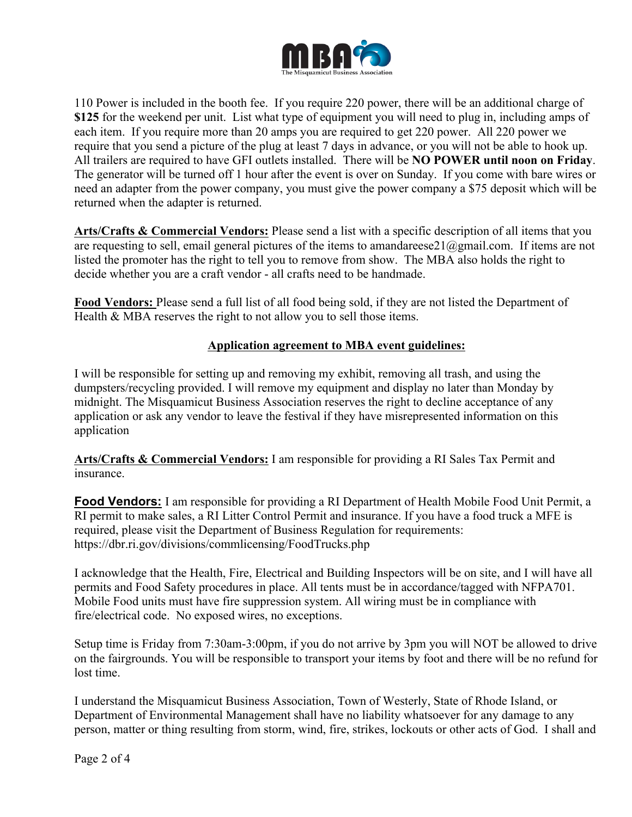

110 Power is included in the booth fee. If you require 220 power, there will be an additional charge of **\$125** for the weekend per unit. List what type of equipment you will need to plug in, including amps of each item. If you require more than 20 amps you are required to get 220 power. All 220 power we require that you send a picture of the plug at least 7 days in advance, or you will not be able to hook up. All trailers are required to have GFI outlets installed. There will be **NO POWER until noon on Friday**. The generator will be turned off 1 hour after the event is over on Sunday. If you come with bare wires or need an adapter from the power company, you must give the power company a \$75 deposit which will be returned when the adapter is returned.

**Arts/Crafts & Commercial Vendors:** Please send a list with a specific description of all items that you are requesting to sell, email general pictures of the items to amandareese21@gmail.com. If items are not listed the promoter has the right to tell you to remove from show. The MBA also holds the right to decide whether you are a craft vendor - all crafts need to be handmade.

**Food Vendors:** Please send a full list of all food being sold, if they are not listed the Department of Health & MBA reserves the right to not allow you to sell those items.

## **Application agreement to MBA event guidelines:**

I will be responsible for setting up and removing my exhibit, removing all trash, and using the dumpsters/recycling provided. I will remove my equipment and display no later than Monday by midnight. The Misquamicut Business Association reserves the right to decline acceptance of any application or ask any vendor to leave the festival if they have misrepresented information on this application

**Arts/Crafts & Commercial Vendors:** I am responsible for providing a RI Sales Tax Permit and insurance.

**Food Vendors:** I am responsible for providing a RI Department of Health Mobile Food Unit Permit, a RI permit to make sales, a RI Litter Control Permit and insurance. If you have a food truck a MFE is required, please visit the Department of Business Regulation for requirements: https://dbr.ri.gov/divisions/commlicensing/FoodTrucks.php

I acknowledge that the Health, Fire, Electrical and Building Inspectors will be on site, and I will have all permits and Food Safety procedures in place. All tents must be in accordance/tagged with NFPA701. Mobile Food units must have fire suppression system. All wiring must be in compliance with fire/electrical code. No exposed wires, no exceptions.

Setup time is Friday from 7:30am-3:00pm, if you do not arrive by 3pm you will NOT be allowed to drive on the fairgrounds. You will be responsible to transport your items by foot and there will be no refund for lost time.

I understand the Misquamicut Business Association, Town of Westerly, State of Rhode Island, or Department of Environmental Management shall have no liability whatsoever for any damage to any person, matter or thing resulting from storm, wind, fire, strikes, lockouts or other acts of God. I shall and